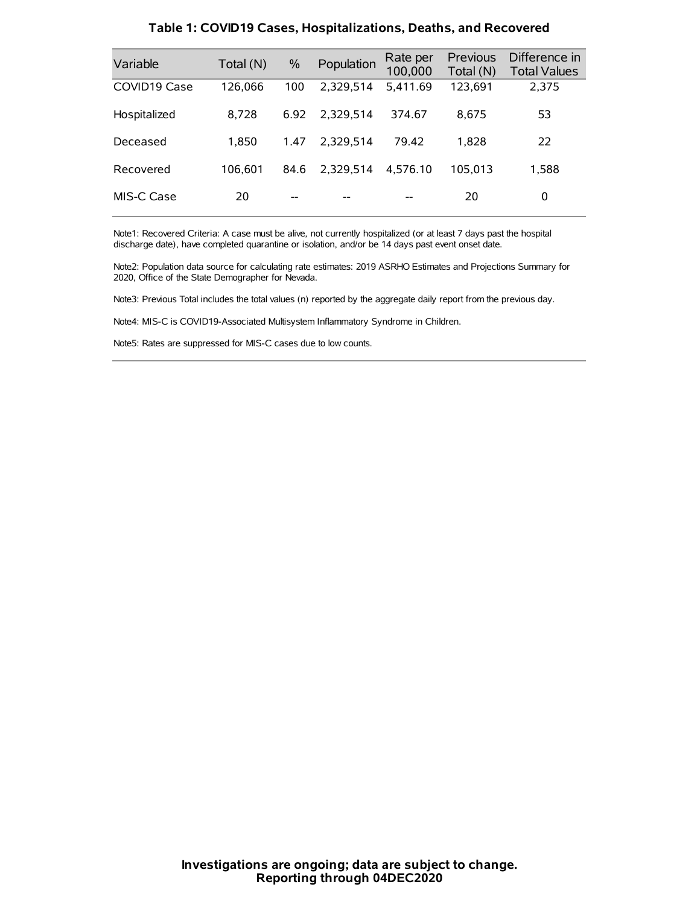| Variable     | Total (N) | $\frac{0}{0}$ | Population | Rate per<br>100,000 | Previous<br>Total (N) | Difference in<br><b>Total Values</b> |
|--------------|-----------|---------------|------------|---------------------|-----------------------|--------------------------------------|
| COVID19 Case | 126,066   | 100           | 2,329,514  | 5,411.69            | 123,691               | 2.375                                |
| Hospitalized | 8,728     | 6.92          | 2.329.514  | 374.67              | 8.675                 | 53                                   |
| Deceased     | 1.850     | 1.47          | 2.329.514  | 79.42               | 1.828                 | 22                                   |
| Recovered    | 106.601   | 84.6          | 2.329.514  | 4.576.10            | 105.013               | 1,588                                |
| MIS-C Case   | 20        |               |            |                     | 20                    | 0                                    |

#### **Table 1: COVID19 Cases, Hospitalizations, Deaths, and Recovered**

Note1: Recovered Criteria: A case must be alive, not currently hospitalized (or at least 7 days past the hospital discharge date), have completed quarantine or isolation, and/or be 14 days past event onset date.

Note2: Population data source for calculating rate estimates: 2019 ASRHO Estimates and Projections Summary for 2020, Office of the State Demographer for Nevada.

Note3: Previous Total includes the total values (n) reported by the aggregate daily report from the previous day.

Note4: MIS-C is COVID19-Associated Multisystem Inflammatory Syndrome in Children.

Note5: Rates are suppressed for MIS-C cases due to low counts.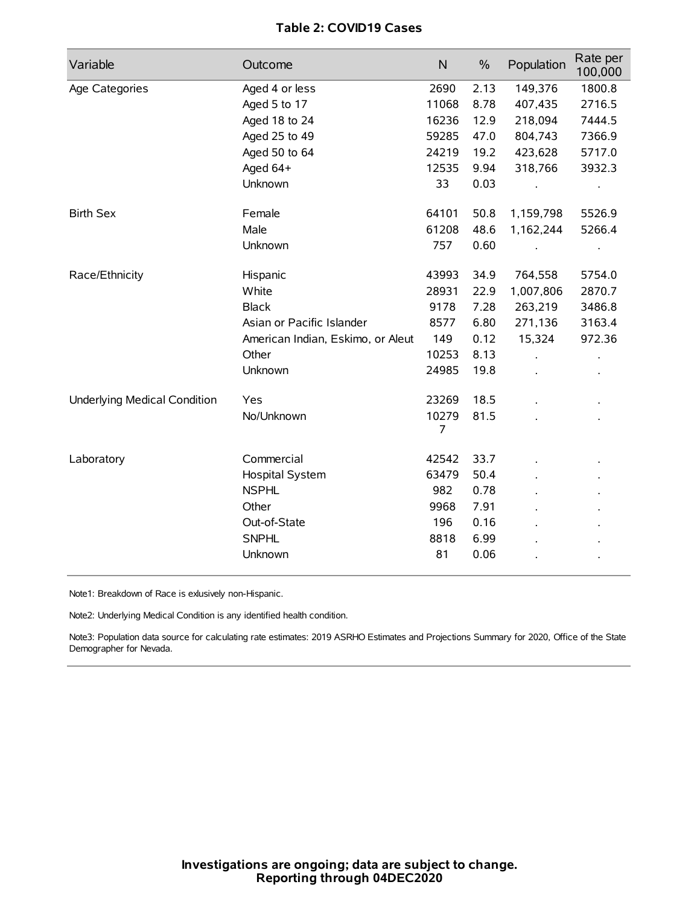## **Table 2: COVID19 Cases**

| Variable                            | Outcome                           | $\mathsf{N}$            | $\%$ | Population | Rate per<br>100,000 |
|-------------------------------------|-----------------------------------|-------------------------|------|------------|---------------------|
| Age Categories                      | Aged 4 or less                    | 2690                    | 2.13 | 149,376    | 1800.8              |
|                                     | Aged 5 to 17                      | 11068                   | 8.78 | 407,435    | 2716.5              |
|                                     | Aged 18 to 24                     | 16236                   | 12.9 | 218,094    | 7444.5              |
|                                     | Aged 25 to 49                     | 59285                   | 47.0 | 804,743    | 7366.9              |
|                                     | Aged 50 to 64                     | 24219                   | 19.2 | 423,628    | 5717.0              |
|                                     | Aged 64+                          | 12535                   | 9.94 | 318,766    | 3932.3              |
|                                     | Unknown                           | 33                      | 0.03 |            | $\bullet$           |
| <b>Birth Sex</b>                    | Female                            | 64101                   | 50.8 | 1,159,798  | 5526.9              |
|                                     | Male                              | 61208                   | 48.6 | 1,162,244  | 5266.4              |
|                                     | Unknown                           | 757                     | 0.60 |            | $\bullet$           |
| Race/Ethnicity                      | Hispanic                          | 43993                   | 34.9 | 764,558    | 5754.0              |
|                                     | White                             | 28931                   | 22.9 | 1,007,806  | 2870.7              |
|                                     | <b>Black</b>                      | 9178                    | 7.28 | 263,219    | 3486.8              |
|                                     | Asian or Pacific Islander         | 8577                    | 6.80 | 271,136    | 3163.4              |
|                                     | American Indian, Eskimo, or Aleut | 149                     | 0.12 | 15,324     | 972.36              |
|                                     | Other                             | 10253                   | 8.13 |            |                     |
|                                     | Unknown                           | 24985                   | 19.8 |            |                     |
| <b>Underlying Medical Condition</b> | Yes                               | 23269                   | 18.5 |            |                     |
|                                     | No/Unknown                        | 10279<br>$\overline{7}$ | 81.5 |            |                     |
| Laboratory                          | Commercial                        | 42542                   | 33.7 |            |                     |
|                                     | Hospital System                   | 63479                   | 50.4 |            |                     |
|                                     | <b>NSPHL</b>                      | 982                     | 0.78 |            |                     |
|                                     | Other                             | 9968                    | 7.91 |            |                     |
|                                     | Out-of-State                      | 196                     | 0.16 |            |                     |
|                                     | <b>SNPHL</b>                      | 8818                    | 6.99 |            |                     |
|                                     | Unknown                           | 81                      | 0.06 |            |                     |

Note1: Breakdown of Race is exlusively non-Hispanic.

Note2: Underlying Medical Condition is any identified health condition.

Note3: Population data source for calculating rate estimates: 2019 ASRHO Estimates and Projections Summary for 2020, Office of the State Demographer for Nevada.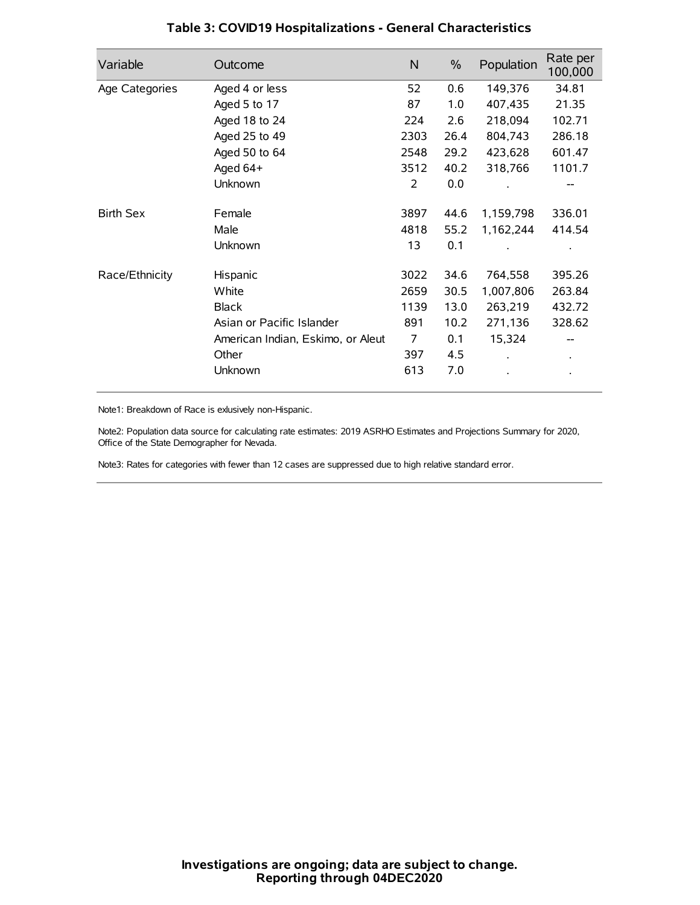| Variable         | Outcome                           | $\mathsf{N}$   | $\%$ | Population | Rate per<br>100,000 |
|------------------|-----------------------------------|----------------|------|------------|---------------------|
| Age Categories   | Aged 4 or less                    | 52             | 0.6  | 149,376    | 34.81               |
|                  | Aged 5 to 17                      | 87             | 1.0  | 407,435    | 21.35               |
|                  | Aged 18 to 24                     | 224            | 2.6  | 218,094    | 102.71              |
|                  | Aged 25 to 49                     | 2303           | 26.4 | 804,743    | 286.18              |
|                  | Aged 50 to 64                     | 2548           | 29.2 | 423,628    | 601.47              |
|                  | Aged 64+                          | 3512           | 40.2 | 318,766    | 1101.7              |
|                  | Unknown                           | 2              | 0.0  |            |                     |
| <b>Birth Sex</b> | Female                            | 3897           | 44.6 | 1,159,798  | 336.01              |
|                  | Male                              | 4818           | 55.2 | 1,162,244  | 414.54              |
|                  | Unknown                           | 13             | 0.1  |            |                     |
| Race/Ethnicity   | Hispanic                          | 3022           | 34.6 | 764,558    | 395.26              |
|                  | White                             | 2659           | 30.5 | 1,007,806  | 263.84              |
|                  | <b>Black</b>                      | 1139           | 13.0 | 263,219    | 432.72              |
|                  | Asian or Pacific Islander         | 891            | 10.2 | 271,136    | 328.62              |
|                  | American Indian, Eskimo, or Aleut | $\overline{7}$ | 0.1  | 15,324     |                     |
|                  | Other                             | 397            | 4.5  |            |                     |
|                  | Unknown                           | 613            | 7.0  |            |                     |

### **Table 3: COVID19 Hospitalizations - General Characteristics**

Note1: Breakdown of Race is exlusively non-Hispanic.

Note2: Population data source for calculating rate estimates: 2019 ASRHO Estimates and Projections Summary for 2020, Office of the State Demographer for Nevada.

Note3: Rates for categories with fewer than 12 cases are suppressed due to high relative standard error.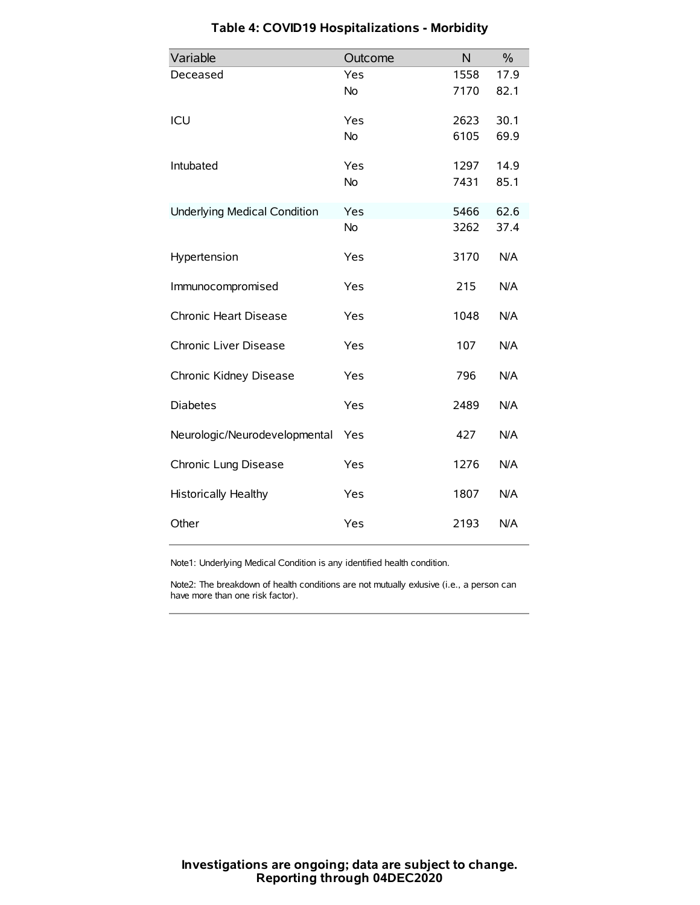| Variable                            | Outcome   | N    | $\frac{0}{0}$ |
|-------------------------------------|-----------|------|---------------|
| Deceased                            | Yes       | 1558 | 17.9          |
|                                     | No        | 7170 | 82.1          |
| ICU                                 | Yes       | 2623 | 30.1          |
|                                     | <b>No</b> | 6105 | 69.9          |
| Intubated                           | Yes       | 1297 | 14.9          |
|                                     | No        | 7431 | 85.1          |
| <b>Underlying Medical Condition</b> | Yes       | 5466 | 62.6          |
|                                     | No        | 3262 | 37.4          |
| Hypertension                        | Yes       | 3170 | N/A           |
| Immunocompromised                   | Yes       | 215  | N/A           |
| Chronic Heart Disease               | Yes       | 1048 | N/A           |
| Chronic Liver Disease               | Yes       | 107  | N/A           |
| Chronic Kidney Disease              | Yes       | 796  | N/A           |
| <b>Diabetes</b>                     | Yes       | 2489 | N/A           |
| Neurologic/Neurodevelopmental       | Yes       | 427  | N/A           |
| Chronic Lung Disease                | Yes       | 1276 | N/A           |
| <b>Historically Healthy</b>         | Yes       | 1807 | N/A           |
| Other                               | Yes       | 2193 | N/A           |

# **Table 4: COVID19 Hospitalizations - Morbidity**

Note1: Underlying Medical Condition is any identified health condition.

Note2: The breakdown of health conditions are not mutually exlusive (i.e., a person can have more than one risk factor).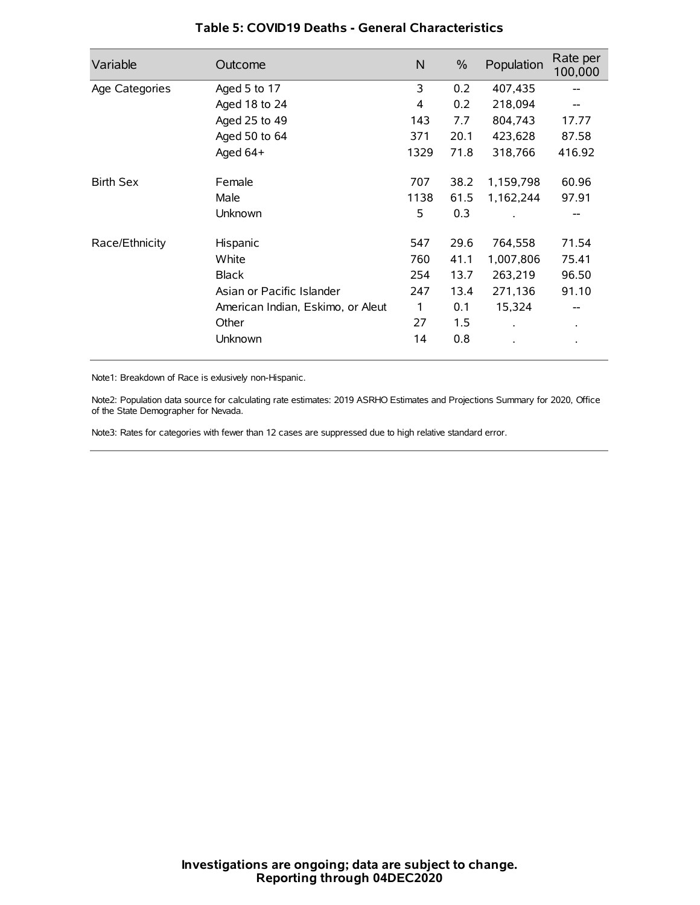| Variable         | Outcome                           | N    | $\%$ | Population | Rate per<br>100,000 |
|------------------|-----------------------------------|------|------|------------|---------------------|
| Age Categories   | Aged 5 to 17                      | 3    | 0.2  | 407,435    | --                  |
|                  | Aged 18 to 24                     | 4    | 0.2  | 218,094    |                     |
|                  | Aged 25 to 49                     | 143  | 7.7  | 804,743    | 17.77               |
|                  | Aged 50 to 64                     | 371  | 20.1 | 423,628    | 87.58               |
|                  | Aged $64+$                        | 1329 | 71.8 | 318,766    | 416.92              |
| <b>Birth Sex</b> | Female                            | 707  | 38.2 | 1,159,798  | 60.96               |
|                  | Male                              | 1138 | 61.5 | 1,162,244  | 97.91               |
|                  | Unknown                           | 5    | 0.3  |            |                     |
| Race/Ethnicity   | Hispanic                          | 547  | 29.6 | 764,558    | 71.54               |
|                  | White                             | 760  | 41.1 | 1,007,806  | 75.41               |
|                  | <b>Black</b>                      | 254  | 13.7 | 263,219    | 96.50               |
|                  | Asian or Pacific Islander         | 247  | 13.4 | 271,136    | 91.10               |
|                  | American Indian, Eskimo, or Aleut | 1    | 0.1  | 15,324     | --                  |
|                  | Other                             | 27   | 1.5  |            | $\bullet$           |
|                  | Unknown                           | 14   | 0.8  |            | $\bullet$           |

### **Table 5: COVID19 Deaths - General Characteristics**

Note1: Breakdown of Race is exlusively non-Hispanic.

Note2: Population data source for calculating rate estimates: 2019 ASRHO Estimates and Projections Summary for 2020, Office of the State Demographer for Nevada.

Note3: Rates for categories with fewer than 12 cases are suppressed due to high relative standard error.